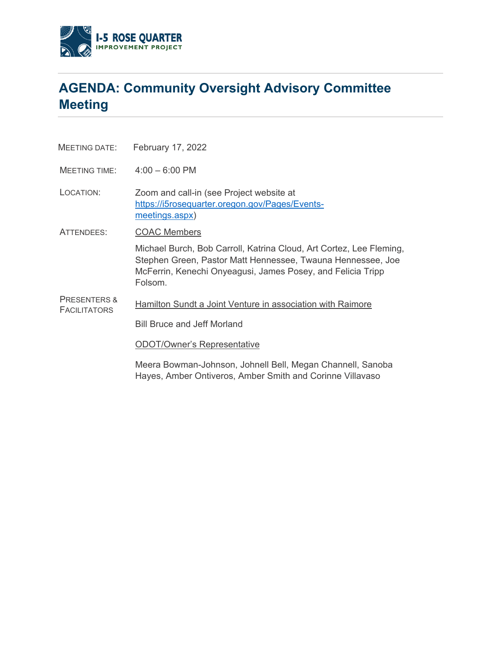

## **AGENDA: Community Oversight Advisory Committee Meeting**

MEETING DATE: February 17, 2022

MEETING TIME: 4:00 – 6:00 PM

LOCATION: Zoom and call-in (see Project website at [https://i5rosequarter.oregon.gov/Pages/Events](https://i5rosequarter.oregon.gov/Pages/Events-meetings.aspx)[meetings.aspx\)](https://i5rosequarter.oregon.gov/Pages/Events-meetings.aspx)

ATTENDEES: COAC Members

Michael Burch, Bob Carroll, Katrina Cloud, Art Cortez, Lee Fleming, Stephen Green, Pastor Matt Hennessee, Twauna Hennessee, Joe McFerrin, Kenechi Onyeagusi, James Posey, and Felicia Tripp Folsom.

PRESENTERS & **FACILITATORS** Hamilton Sundt a Joint Venture in association with Raimore

Bill Bruce and Jeff Morland

ODOT/Owner's Representative

Meera Bowman-Johnson, Johnell Bell, Megan Channell, Sanoba Hayes, Amber Ontiveros, Amber Smith and Corinne Villavaso